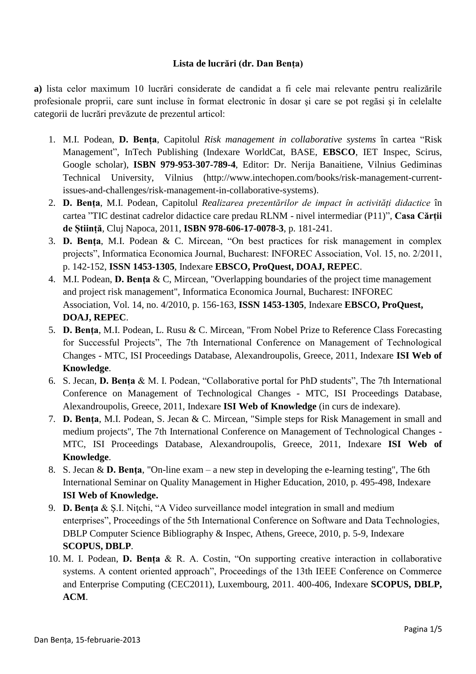## **Lista de lucrări (dr. Dan Bența)**

**a)** lista celor maximum 10 lucrări considerate de candidat a fi cele mai relevante pentru realizările profesionale proprii, care sunt incluse în format electronic în dosar şi care se pot regăsi şi în celelalte categorii de lucrări prevăzute de prezentul articol:

- 1. M.I. Podean, **D. Bența**, Capitolul *Risk management in collaborative systems* în cartea "Risk Management", InTech Publishing (Indexare WorldCat, BASE, **EBSCO**, IET Inspec, Scirus, Google scholar), **ISBN 979-953-307-789-4**, Editor: Dr. Nerija Banaitiene, Vilnius Gediminas Technical University, Vilnius (http://www.intechopen.com/books/risk-management-currentissues-and-challenges/risk-management-in-collaborative-systems).
- 2. **D. Bența**, M.I. Podean, Capitolul *Realizarea prezentărilor de impact în activități didactice* în cartea "TIC destinat cadrelor didactice care predau RLNM - nivel intermediar (P11)", **Casa Cărții de Știință**, Cluj Napoca, 2011, **ISBN 978-606-17-0078-3**, p. 181-241.
- 3. **D. Benţa**, M.I. Podean & C. Mircean, "On best practices for risk management in complex projects", Informatica Economica Journal, Bucharest: INFOREC Association, Vol. 15, no. 2/2011, p. 142-152, **ISSN 1453-1305**, Indexare **EBSCO, ProQuest, DOAJ, REPEC**.
- 4. M.I. Podean, **D. Benţa** & C, Mircean, "Overlapping boundaries of the project time management and project risk management", Informatica Economica Journal, Bucharest: INFOREC Association, Vol. 14, no. 4/2010, p. 156-163, **ISSN 1453-1305**, Indexare **EBSCO, ProQuest, DOAJ, REPEC**.
- 5. **D. Benţa**, M.I. Podean, L. Rusu & C. Mircean, "From Nobel Prize to Reference Class Forecasting for Successful Projects", The 7th International Conference on Management of Technological Changes - MTC, ISI Proceedings Database, Alexandroupolis, Greece, 2011, Indexare **ISI Web of Knowledge**.
- 6. S. Jecan, **D. Bența** & M. I. Podean, "Collaborative portal for PhD students", The 7th International Conference on Management of Technological Changes - MTC, ISI Proceedings Database, Alexandroupolis, Greece, 2011, Indexare **ISI Web of Knowledge** (in curs de indexare).
- 7. **D. Benţa**, M.I. Podean, S. Jecan & C. Mircean, "Simple steps for Risk Management in small and medium projects", The 7th International Conference on Management of Technological Changes - MTC, ISI Proceedings Database, Alexandroupolis, Greece, 2011, Indexare **ISI Web of Knowledge**.
- 8. S. Jecan & **D. Benţa**, "On-line exam a new step in developing the e-learning testing", The 6th International Seminar on Quality Management in Higher Education, 2010, p. 495-498, Indexare **ISI Web of Knowledge.**
- 9. **D. Benţa** & Ş.I. Niţchi, "A Video surveillance model integration in small and medium enterprises", Proceedings of the 5th International Conference on Software and Data Technologies, DBLP Computer Science Bibliography & Inspec, Athens, Greece, 2010, p. 5-9, Indexare **SCOPUS, DBLP**.
- 10. M. I. Podean, **D. Bența** & R. A. Costin, "On supporting creative interaction in collaborative systems. A content oriented approach", Proceedings of the 13th IEEE Conference on Commerce and Enterprise Computing (CEC2011), Luxembourg, 2011. 400-406, Indexare **SCOPUS, DBLP, ACM**.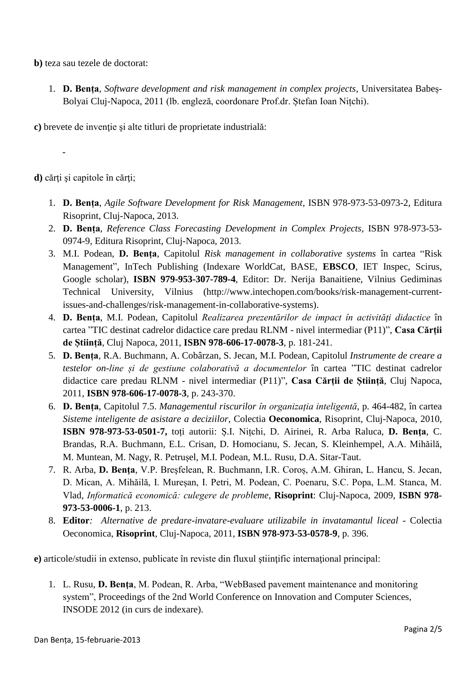**b)** teza sau tezele de doctorat:

1. **D. Bența**, *Software development and risk management in complex projects*, Universitatea Babeș-Bolyai Cluj-Napoca, 2011 (lb. engleză, coordonare Prof.dr. Ștefan Ioan Nițchi).

**c)** brevete de invenţie şi alte titluri de proprietate industrială:

**d)** cărţi şi capitole în cărţi;

-

- 1. **D. Bența**, *Agile Software Development for Risk Management,* ISBN 978-973-53-0973-2, Editura Risoprint, Cluj-Napoca, 2013.
- 2. **D. Bența**, *Reference Class Forecasting Development in Complex Projects,* ISBN 978-973-53- 0974-9, Editura Risoprint, Cluj-Napoca, 2013.
- 3. M.I. Podean, **D. Bența**, Capitolul *Risk management in collaborative systems* în cartea "Risk Management", InTech Publishing (Indexare WorldCat, BASE, **EBSCO**, IET Inspec, Scirus, Google scholar), **ISBN 979-953-307-789-4**, Editor: Dr. Nerija Banaitiene, Vilnius Gediminas Technical University, Vilnius (http://www.intechopen.com/books/risk-management-currentissues-and-challenges/risk-management-in-collaborative-systems).
- 4. **D. Bența**, M.I. Podean, Capitolul *Realizarea prezentărilor de impact în activități didactice* în cartea "TIC destinat cadrelor didactice care predau RLNM - nivel intermediar (P11)", **Casa Cărții de Știință**, Cluj Napoca, 2011, **ISBN 978-606-17-0078-3**, p. 181-241.
- 5. **D. Bența**, R.A. Buchmann, A. Cobârzan, S. Jecan, M.I. Podean, Capitolul *Instrumente de creare a testelor on-line și de gestiune colaborativă a documentelor* în cartea "TIC destinat cadrelor didactice care predau RLNM - nivel intermediar (P11)", **Casa Cărții de Știință**, Cluj Napoca, 2011, **ISBN 978-606-17-0078-3**, p. 243-370.
- 6. **D. Bența**, Capitolul 7.5. *Managementul riscurilor în organizația inteligentă*, p. 464-482, în cartea *Sisteme inteligente de asistare a deciziilor*, Colectia **Oeconomica**, Risoprint, Cluj-Napoca, 2010, **ISBN 978-973-53-0501-7,** toți autorii: Ș.I. Nițchi, D. Airinei, R. Arba Raluca, **D. Benţa**, C. Brandas, R.A. Buchmann, E.L. Crisan, D. Homocianu, S. Jecan, S. Kleinhempel, A.A. Mihăilă, M. Muntean, M. Nagy, R. Petrușel, M.I. Podean, M.L. Rusu, D.A. Sitar-Taut.
- 7. R. Arba, **D. Benţa**, V.P. Breşfelean, R. Buchmann, I.R. Coroș, A.M. Ghiran, L. Hancu, S. Jecan, D. Mican, A. Mihăilă, I. Mureșan, I. Petri, M. Podean, C. Poenaru, S.C. Popa, L.M. Stanca, M. Vlad, *Informatică economică: culegere de probleme*, **Risoprint**: Cluj-Napoca, 2009, **ISBN 978- 973-53-0006-1**, p. 213.
- 8. **Editor***: Alternative de predare-invatare-evaluare utilizabile in invatamantul liceal* Colectia Oeconomica, **Risoprint**, Cluj-Napoca, 2011, **ISBN 978-973-53-0578-9**, p. 396.

**e)** articole/studii in extenso, publicate în reviste din fluxul ştiinţific internaţional principal:

1. L. Rusu, **D. Benţa**, M. Podean, R. Arba, "WebBased pavement maintenance and monitoring system", Proceedings of the 2nd World Conference on Innovation and Computer Sciences, INSODE 2012 (in curs de indexare).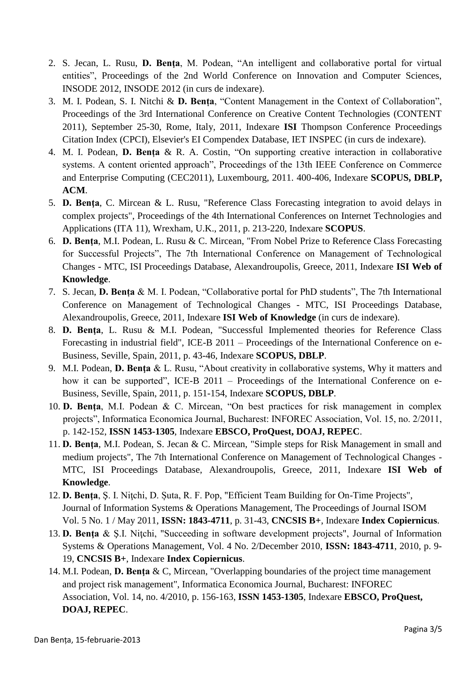- 2. S. Jecan, L. Rusu, **D. Benţa**, M. Podean, "An intelligent and collaborative portal for virtual entities", Proceedings of the 2nd World Conference on Innovation and Computer Sciences, INSODE 2012, INSODE 2012 (in curs de indexare).
- 3. M. I. Podean, S. I. Nitchi & **D. Bența**, "Content Management in the Context of Collaboration", Proceedings of the 3rd International Conference on Creative Content Technologies (CONTENT 2011), September 25-30, Rome, Italy, 2011, Indexare **ISI** Thompson Conference Proceedings Citation Index (CPCI), Elsevier's EI Compendex Database, IET INSPEC (in curs de indexare).
- 4. M. I. Podean, **D. Bența** & R. A. Costin, "On supporting creative interaction in collaborative systems. A content oriented approach", Proceedings of the 13th IEEE Conference on Commerce and Enterprise Computing (CEC2011), Luxembourg, 2011. 400-406, Indexare **SCOPUS, DBLP, ACM**.
- 5. **D. Benţa**, C. Mircean & L. Rusu, "Reference Class Forecasting integration to avoid delays in complex projects", Proceedings of the 4th International Conferences on Internet Technologies and Applications (ITA 11), Wrexham, U.K., 2011, p. 213-220, Indexare **SCOPUS**.
- 6. **D. Benţa**, M.I. Podean, L. Rusu & C. Mircean, "From Nobel Prize to Reference Class Forecasting for Successful Projects", The 7th International Conference on Management of Technological Changes - MTC, ISI Proceedings Database, Alexandroupolis, Greece, 2011, Indexare **ISI Web of Knowledge**.
- 7. S. Jecan, **D. Bența** & M. I. Podean, "Collaborative portal for PhD students", The 7th International Conference on Management of Technological Changes - MTC, ISI Proceedings Database, Alexandroupolis, Greece, 2011, Indexare **ISI Web of Knowledge** (in curs de indexare).
- 8. **D. Benţa**, L. Rusu & M.I. Podean, "Successful Implemented theories for Reference Class Forecasting in industrial field", ICE-B 2011 – Proceedings of the International Conference on e-Business, Seville, Spain, 2011, p. 43-46, Indexare **SCOPUS, DBLP**.
- 9. M.I. Podean, **D. Benţa** & L. Rusu, "About creativity in collaborative systems, Why it matters and how it can be supported", ICE-B 2011 – Proceedings of the International Conference on e-Business, Seville, Spain, 2011, p. 151-154, Indexare **SCOPUS, DBLP**.
- 10. **D. Benţa**, M.I. Podean & C. Mircean, "On best practices for risk management in complex projects", Informatica Economica Journal, Bucharest: INFOREC Association, Vol. 15, no. 2/2011, p. 142-152, **ISSN 1453-1305**, Indexare **EBSCO, ProQuest, DOAJ, REPEC**.
- 11. **D. Benţa**, M.I. Podean, S. Jecan & C. Mircean, "Simple steps for Risk Management in small and medium projects", The 7th International Conference on Management of Technological Changes - MTC, ISI Proceedings Database, Alexandroupolis, Greece, 2011, Indexare **ISI Web of Knowledge**.
- 12. **D. Benţa**, Ş. I. Niţchi, D. Șuta, R. F. Pop, "Efficient Team Building for On-Time Projects", Journal of Information Systems & Operations Management, The Proceedings of Journal ISOM Vol. 5 No. 1 / May 2011, **ISSN: 1843-4711**, p. 31-43, **CNCSIS B+**, Indexare **Index Copiernicus**.
- 13. **D. Benţa** & Ş.I. Niţchi, "Succeeding in software development projects", Journal of Information Systems & Operations Management, Vol. 4 No. 2/December 2010, **ISSN: 1843-4711**, 2010, p. 9- 19, **CNCSIS B+**, Indexare **Index Copiernicus**.
- 14. M.I. Podean, **D. Benţa** & C, Mircean, "Overlapping boundaries of the project time management and project risk management", Informatica Economica Journal, Bucharest: INFOREC Association, Vol. 14, no. 4/2010, p. 156-163, **ISSN 1453-1305**, Indexare **EBSCO, ProQuest, DOAJ, REPEC**.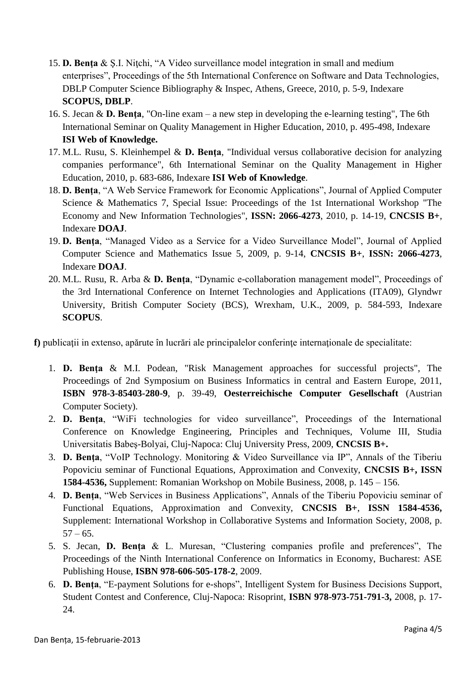- 15. **D. Benţa** & Ş.I. Niţchi, "A Video surveillance model integration in small and medium enterprises", Proceedings of the 5th International Conference on Software and Data Technologies, DBLP Computer Science Bibliography & Inspec, Athens, Greece, 2010, p. 5-9, Indexare **SCOPUS, DBLP**.
- 16. S. Jecan & **D. Benţa**, "On-line exam a new step in developing the e-learning testing", The 6th International Seminar on Quality Management in Higher Education, 2010, p. 495-498, Indexare **ISI Web of Knowledge.**
- 17. M.L. Rusu, S. Kleinhempel & **D. Benţa**, "Individual versus collaborative decision for analyzing companies performance", 6th International Seminar on the Quality Management in Higher Education, 2010, p. 683-686, Indexare **ISI Web of Knowledge**.
- 18. **D. Benţa**, "A Web Service Framework for Economic Applications", Journal of Applied Computer Science & Mathematics 7, Special Issue: Proceedings of the 1st International Workshop "The Economy and New Information Technologies", **ISSN: 2066-4273**, 2010, p. 14-19, **CNCSIS B+**, Indexare **DOAJ**.
- 19. **D. Benţa**, "Managed Video as a Service for a Video Surveillance Model", Journal of Applied Computer Science and Mathematics Issue 5, 2009, p. 9-14, **CNCSIS B+**, **ISSN: 2066-4273**, Indexare **DOAJ**.
- 20. M.L. Rusu, R. Arba & **D. Benţa**, "Dynamic e-collaboration management model", Proceedings of the 3rd International Conference on Internet Technologies and Applications (ITA09), Glyndwr University, British Computer Society (BCS), Wrexham, U.K., 2009, p. 584-593, Indexare **SCOPUS**.

f) publicații in extenso, apărute în lucrări ale principalelor conferințe internaționale de specialitate:

- 1. **D. Benţa** & M.I. Podean, "Risk Management approaches for successful projects", The Proceedings of 2nd Symposium on Business Informatics in central and Eastern Europe, 2011, **ISBN 978-3-85403-280-9**, p. 39-49, **Oesterreichische Computer Gesellschaft** (Austrian Computer Society).
- 2. **D. Benţa**, "WiFi technologies for video surveillance", Proceedings of the International Conference on Knowledge Engineering, Principles and Techniques, Volume III, Studia Universitatis Babeş-Bolyai, Cluj-Napoca: Cluj University Press, 2009, **CNCSIS B+.**
- 3. **D. Benţa**, "VoIP Technology. Monitoring & Video Surveillance via IP", Annals of the Tiberiu Popoviciu seminar of Functional Equations, Approximation and Convexity, **CNCSIS B+, ISSN 1584-4536,** Supplement: Romanian Workshop on Mobile Business, 2008, p. 145 – 156.
- 4. **D. Benţa**, "Web Services in Business Applications", Annals of the Tiberiu Popoviciu seminar of Functional Equations, Approximation and Convexity, **CNCSIS B+**, **ISSN 1584-4536,** Supplement: International Workshop in Collaborative Systems and Information Society, 2008, p.  $57 - 65.$
- 5. S. Jecan, **D. Benţa** & L. Muresan, "Clustering companies profile and preferences", The Proceedings of the Ninth International Conference on Informatics in Economy, Bucharest: ASE Publishing House, **ISBN 978-606-505-178-2**, 2009.
- 6. **D. Benţa**, "E-payment Solutions for e-shops", Intelligent System for Business Decisions Support, Student Contest and Conference, Cluj-Napoca: Risoprint, **ISBN 978-973-751-791-3,** 2008, p. 17- 24.